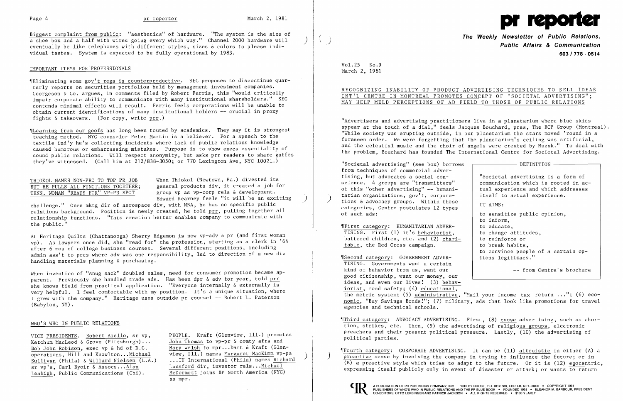Biggest complaint from public: "aesthetics" of hardware. "The system is the size of a shoe box and a half with wires going every which way." Channel 2000 hardware will ) eventually be like telephones with different styles, sizes & colors to please individual tastes. System is expected to be fully operational by 1983.

### IMPORTANT ITEMS FOR PROFESSIONALS

~IEliminating some gov't regs is counterproductive. SEC proposes to discontinue quarterly reports on securities portfolios held by management investment companies. Georgeson & Co. argues, in comments filed by Robert Ferris, this "would critically impair corporate ability to communicate with many institutional shareholders." SEC contends minimal effects will result. Ferris feels corporations will be unable to obtain current identifications of many institutional holders **--** crucial in proxy fights & takeovers. (For copy, write prr.)

THIOKOL NAMES NON-PRO TO TOP PR JOB When Thiokol (Newtown, Pa.) divested its<br>BUT HE PULLS ALL FUNCTIONS TOGETHER; general products div, it created a job fo BUT HE PULLS ALL FUNCTIONS TOGETHER; general products div, it created a job for<br>TENN. WOMAN "READS FOR" VP-PR SPOT group vp as vp-corp rels & development. group vp as vp-corp rels & development. Edward Kearney feels "it will be an exciting )

challenge." Once mktg dir of aerospace div, with MBA, he has no specific public relations background. Position is newly created, he told prr, pulling together all relationship functions. "This creation better enables company to communicate with the public."

~ILearning from our goofs has long been touted by academics. They say it is strongest teaching method. NYC counselor Peter Martin is a believer. For a speech to the textile ind'y he's collecting incidents where lack of public relations knowledge caused humorous or embarrassing mistakes. Purpose is to show execs essentiality of sound public relations. Will respect anonymity, but asks prr readers to share gaffes they've witnessed. (Call him at 212/838-3050; or 770 Lexington Ave, NYC 10021.)

When invention of "snug sack" doubled sales, need for consumer promotion became apparent. Previously she handled trade ads. Has been dpr & adv for year, told prr she knows field from practical application. "Everyone internally & externally is very helpful. I feel comfortable with my position. It's a unique situation, where I grew with the company." Heritage uses outside pr counsel -- Robert L. Paterson (Babylon, NY).

At Heritage Quilts (Chattanooga) Sherry Edgemon is now vp-adv & pr (and first woman vp). As lawyers once did, she "read for" the profession, starting as a clerk in '64 after 6 mos of college business courses. Several different positions, including admin ass't to pres where adv was one responsibility, led to direction of a new div handling materials planning & purchasing.

| DEFINITION                                                                                                                                                                            |
|---------------------------------------------------------------------------------------------------------------------------------------------------------------------------------------|
| "Societal advertising is a form of<br>communication which is rooted in ac-<br>tual experience and which addresses<br>itself to actual experience.                                     |
| IT AIMS:                                                                                                                                                                              |
| to sensitize public opinion,<br>to inform,<br>to educate,<br>to change attitudes,<br>to reinforce or<br>to break habits,<br>to convince people of a certain op-<br>tions legitimacy." |
| -- from Centre's brochure                                                                                                                                                             |

 $$Second category: GOVERIMENT ADVER-$ TISING. Governments want a certain kind of behavior from us, want our good citizenship, want our money, our ideas, and even our lives! (3) behaviorist, road safety; (4) educational, -- from Centre's brochure the metric system; (5) administrative, "Mail your income tax return .. **. ";** (6) economic, "Buy Savings Bonds!"; (7) military, ads that look like promotions for travel agencies and technical schools.

### WHO'S WHO IN PUBLIC RELATIONS

Ketchum MacLeod & Grove (Pittsburgh)...<br>
Bob John Robison, exec vp & hd of D.C.<br>
Mary Welsh to mpr...Dart & Kraft (Glen-<u>Bob John Robison</u>, exec vp & hd of D.C. Mary Welsh to mpr...Dart & Kraft (Glen-<br>
operations, Hill and Knowlton...Michael view, Ill.) names Margaret MacKimm vp-pa sr vp's, Carl Byoir & Assocs... Alan Lunsford dir, investor rels... Michael<br>Leahigh, Public Communications (Chi). McDermott joins BP North America (NYC)

VICE PRESIDENTS. Robert Aiello, sr vp, PEOPLE. Kraft (Glenview, Ill.) promotes operations, Hill and Knowlton ... Michael view, Ill.) names Margaret MacKimm vp-pa ) Sullivan (Phila) & Willard Nielsen (L.A.) **..** . IU International (Phila) names Richard McDermott joins BP North America (NYC). as mpr.



**The Weekly Newsletter of Public Relations,** ( ) **Public Affairs & Communication 603/778·0514** 

| ADVERTISING TECHNIQUES TO SELL IDEAS |  |  |
|--------------------------------------|--|--|
| CONCEPT OF "SOCIETAL ADVERTISING";   |  |  |
| FIELD TO THOSE OF PUBLIC RELATIONS   |  |  |

Vol. 25 No.9 March 2, 1981

# RECOGNIZING INABILITY OF PRODUCT INT'L CENTRE IN MONTREAL PROMOTES MAY HELP MELD PERCEPTIONS OF AD P

"Advertisers and advertising practitioners live in a planetarium where blue skies appear at the touch of a dial," feels Jacques Bouchard, pres, The BCP Group (Montreal). "While society was erupting outside, in our planetarium the stars moved 'round in a foreseen order. We were forgetting that the planetarium's ceiling was artificial, and the celestial music and the choir of angels were created by Muzak." To deal with the problem, Bouchard has founded The International Centre for Societal Advertising.

"Societal advertising" (see box) borrows from techniques of commercial advertising, but advocates a social conscience. 4 groups are "transmitters" of this "other advertising" **--** humanitarian organizations, gov't, corpora-<br>tions & advocacy groups. Within these categories, Centre postulates 12 types of such ads:

~rFirst category: HUMANITARIAN ADVER-TISING. First (1) it's behaviorist, battered children, etc. and (2) charitable, the Red Cross campaign.

~rThird category: ADVOCACY ADVERTISING. First, (8) cause advertising, such as abortion, strikes, etc. Then, (9) the advertising of religious groups, electronic preachers and their present political pressure. Lastly, (10) the advertising of political parties.

~IFourth category: CORPORATE ADVERTISING. It can be (11) altruistic in either (A) a ) proactive sense by involving the company in trying to influence the future; or in (B) a preactive style which tries to adapt to the future. Or it is  $(12)$  egocentric, expressing itself publicly only in event of disaster or attack; or wants to return